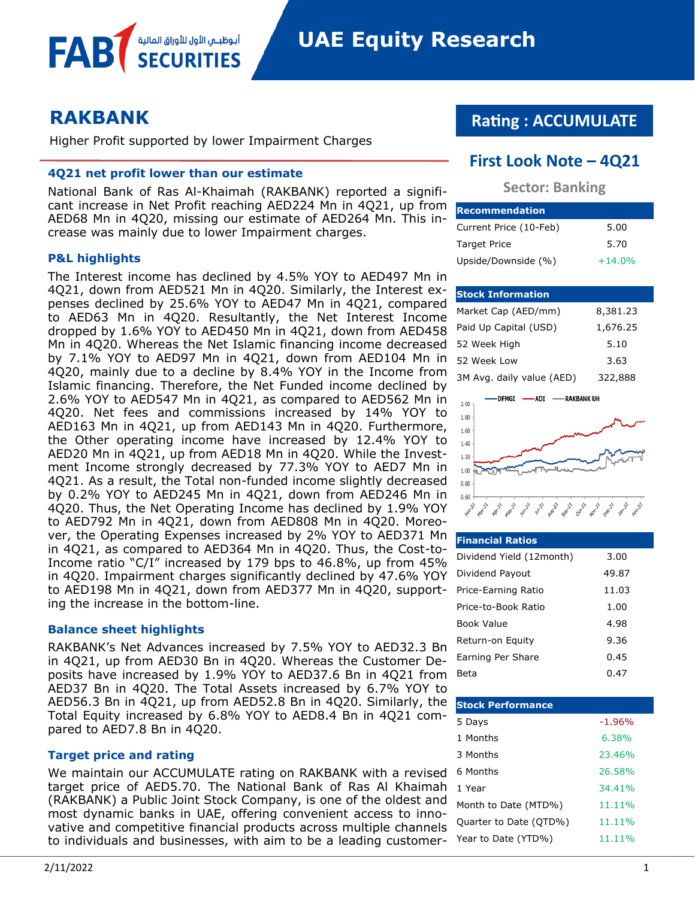# **RAKBANK**

FAB

Higher Profit supported by lower Impairment Charges

#### **4Q21 net profit lower than our estimate**

أبوظبــمي الأول للأوراق المالية

National Bank of Ras Al-Khaimah (RAKBANK) reported a significant increase in Net Profit reaching AED224 Mn in 4Q21, up from AED68 Mn in 4Q20, missing our estimate of AED264 Mn. This increase was mainly due to lower Impairment charges.

#### **P&L highlights**

The Interest income has declined by 4.5% YOY to AED497 Mn in 4Q21, down from AED521 Mn in 4Q20. Similarly, the Interest expenses declined by 25.6% YOY to AED47 Mn in 4Q21, compared to AED63 Mn in 4Q20. Resultantly, the Net Interest Income dropped by 1.6% YOY to AED450 Mn in 4Q21, down from AED458 Mn in 4Q20. Whereas the Net Islamic financing income decreased by 7.1% YOY to AED97 Mn in 4Q21, down from AED104 Mn in 4Q20, mainly due to a decline by 8.4% YOY in the Income from Islamic financing. Therefore, the Net Funded income declined by 2.6% YOY to AED547 Mn in 4Q21, as compared to AED562 Mn in 4Q20. Net fees and commissions increased by 14% YOY to AED163 Mn in 4Q21, up from AED143 Mn in 4Q20. Furthermore, the Other operating income have increased by 12.4% YOY to AED20 Mn in 4Q21, up from AED18 Mn in 4Q20. While the Investment Income strongly decreased by 77.3% YOY to AED7 Mn in 4Q21. As a result, the Total non-funded income slightly decreased by 0.2% YOY to AED245 Mn in 4Q21, down from AED246 Mn in 4Q20. Thus, the Net Operating Income has declined by 1.9% YOY to AED792 Mn in 4Q21, down from AED808 Mn in 4Q20. Moreover, the Operating Expenses increased by 2% YOY to AED371 Mn in 4Q21, as compared to AED364 Mn in 4Q20. Thus, the Cost-to-Income ratio "C/I" increased by 179 bps to 46.8%, up from 45% in 4Q20. Impairment charges significantly declined by 47.6% YOY to AED198 Mn in 4Q21, down from AED377 Mn in 4Q20, supporting the increase in the bottom-line.

#### **Balance sheet highlights**

RAKBANK's Net Advances increased by 7.5% YOY to AED32.3 Bn in 4Q21, up from AED30 Bn in 4Q20. Whereas the Customer Deposits have increased by 1.9% YOY to AED37.6 Bn in 4Q21 from AED37 Bn in 4Q20. The Total Assets increased by 6.7% YOY to AED56.3 Bn in 4Q21, up from AED52.8 Bn in 4Q20. Similarly, the Total Equity increased by 6.8% YOY to AED8.4 Bn in 4Q21 compared to AED7.8 Bn in 4Q20.

#### **Target price and rating**

We maintain our ACCUMULATE rating on RAKBANK with a revised target price of AED5.70. The National Bank of Ras Al Khaimah (RAKBANK) a Public Joint Stock Company, is one of the oldest and most dynamic banks in UAE, offering convenient access to innovative and competitive financial products across multiple channels to individuals and businesses, with aim to be a leading customer-

# **Rating : ACCUMULATE**

## **First Look Note – 4Q21**

### **Sector: Banking**

| <b>Recommendation</b>  |          |
|------------------------|----------|
| Current Price (10-Feb) | 5.00     |
| <b>Target Price</b>    | 5.70     |
| Upside/Downside (%)    | $+14.0%$ |

#### **Stock Information**

| Market Cap (AED/mm)       | 8,381.23 |
|---------------------------|----------|
| Paid Up Capital (USD)     | 1,676.25 |
| 52 Week High              | 5.10     |
| 52 Week Low               | 3.63     |
| 3M Avg. daily value (AED) | 322,888  |



#### **Financial Ratios**

| Dividend Yield (12month) | 3.00  |
|--------------------------|-------|
| Dividend Payout          | 49.87 |
| Price-Earning Ratio      | 11.03 |
| Price-to-Book Ratio      | 1.00  |
| Book Value               | 4.98  |
| Return-on Equity         | 9.36  |
| Earning Per Share        | 0.45  |
| Beta                     | 0.47  |

| <b>Stock Performance</b> |          |
|--------------------------|----------|
| 5 Days                   | $-1.96%$ |
| 1 Months                 | 6.38%    |
| 3 Months                 | 23.46%   |
| 6 Months                 | 26.58%   |
| 1 Year                   | 34.41%   |
| Month to Date (MTD%)     | 11.11%   |
| Quarter to Date (QTD%)   | 11.11%   |
| Year to Date (YTD%)      | 11.11%   |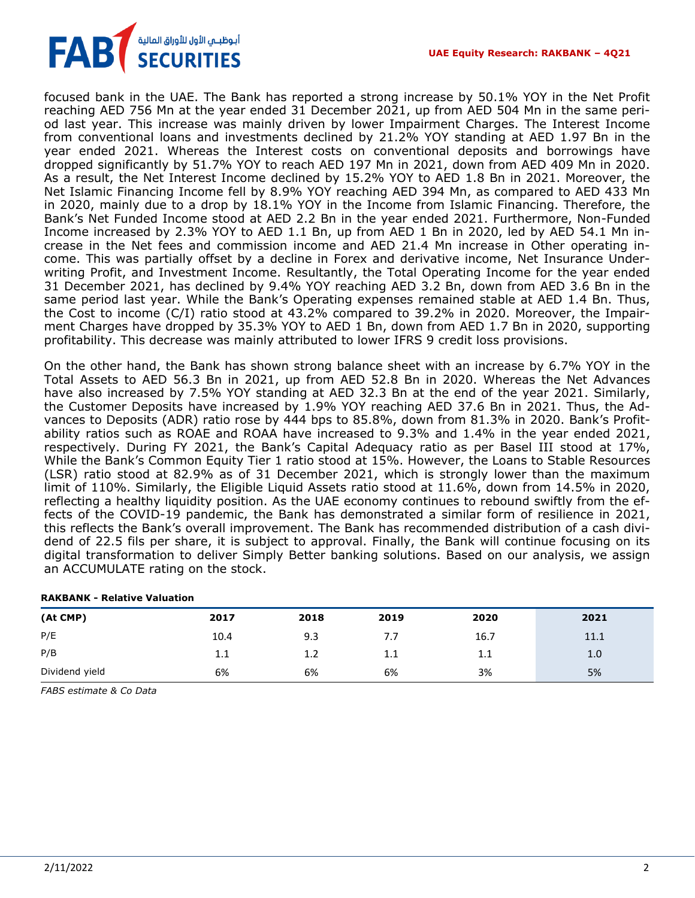

focused bank in the UAE. The Bank has reported a strong increase by 50.1% YOY in the Net Profit reaching AED 756 Mn at the year ended 31 December 2021, up from AED 504 Mn in the same period last year. This increase was mainly driven by lower Impairment Charges. The Interest Income from conventional loans and investments declined by 21.2% YOY standing at AED 1.97 Bn in the year ended 2021. Whereas the Interest costs on conventional deposits and borrowings have dropped significantly by 51.7% YOY to reach AED 197 Mn in 2021, down from AED 409 Mn in 2020. As a result, the Net Interest Income declined by 15.2% YOY to AED 1.8 Bn in 2021. Moreover, the Net Islamic Financing Income fell by 8.9% YOY reaching AED 394 Mn, as compared to AED 433 Mn in 2020, mainly due to a drop by 18.1% YOY in the Income from Islamic Financing. Therefore, the Bank's Net Funded Income stood at AED 2.2 Bn in the year ended 2021. Furthermore, Non-Funded Income increased by 2.3% YOY to AED 1.1 Bn, up from AED 1 Bn in 2020, led by AED 54.1 Mn increase in the Net fees and commission income and AED 21.4 Mn increase in Other operating income. This was partially offset by a decline in Forex and derivative income, Net Insurance Underwriting Profit, and Investment Income. Resultantly, the Total Operating Income for the year ended 31 December 2021, has declined by 9.4% YOY reaching AED 3.2 Bn, down from AED 3.6 Bn in the same period last year. While the Bank's Operating expenses remained stable at AED 1.4 Bn. Thus, the Cost to income (C/I) ratio stood at 43.2% compared to 39.2% in 2020. Moreover, the Impairment Charges have dropped by 35.3% YOY to AED 1 Bn, down from AED 1.7 Bn in 2020, supporting profitability. This decrease was mainly attributed to lower IFRS 9 credit loss provisions.

On the other hand, the Bank has shown strong balance sheet with an increase by 6.7% YOY in the Total Assets to AED 56.3 Bn in 2021, up from AED 52.8 Bn in 2020. Whereas the Net Advances have also increased by 7.5% YOY standing at AED 32.3 Bn at the end of the year 2021. Similarly, the Customer Deposits have increased by 1.9% YOY reaching AED 37.6 Bn in 2021. Thus, the Advances to Deposits (ADR) ratio rose by 444 bps to 85.8%, down from 81.3% in 2020. Bank's Profitability ratios such as ROAE and ROAA have increased to 9.3% and 1.4% in the year ended 2021, respectively. During FY 2021, the Bank's Capital Adequacy ratio as per Basel III stood at 17%, While the Bank's Common Equity Tier 1 ratio stood at 15%. However, the Loans to Stable Resources (LSR) ratio stood at 82.9% as of 31 December 2021, which is strongly lower than the maximum limit of 110%. Similarly, the Eligible Liquid Assets ratio stood at 11.6%, down from 14.5% in 2020, reflecting a healthy liquidity position. As the UAE economy continues to rebound swiftly from the effects of the COVID-19 pandemic, the Bank has demonstrated a similar form of resilience in 2021, this reflects the Bank's overall improvement. The Bank has recommended distribution of a cash dividend of 22.5 fils per share, it is subject to approval. Finally, the Bank will continue focusing on its digital transformation to deliver Simply Better banking solutions. Based on our analysis, we assign an ACCUMULATE rating on the stock.

#### **RAKBANK - Relative Valuation**

| (At CMP)       | 2017 | 2018 | 2019    | 2020 | 2021 |
|----------------|------|------|---------|------|------|
| P/E            | 10.4 | 9.3  | 7.7     | 16.7 | 11.1 |
| P/B            | 1.1  | 1.2  | $1.1\,$ | 1.1  | 1.0  |
| Dividend yield | 6%   | 6%   | 6%      | 3%   | 5%   |

*FABS estimate & Co Data*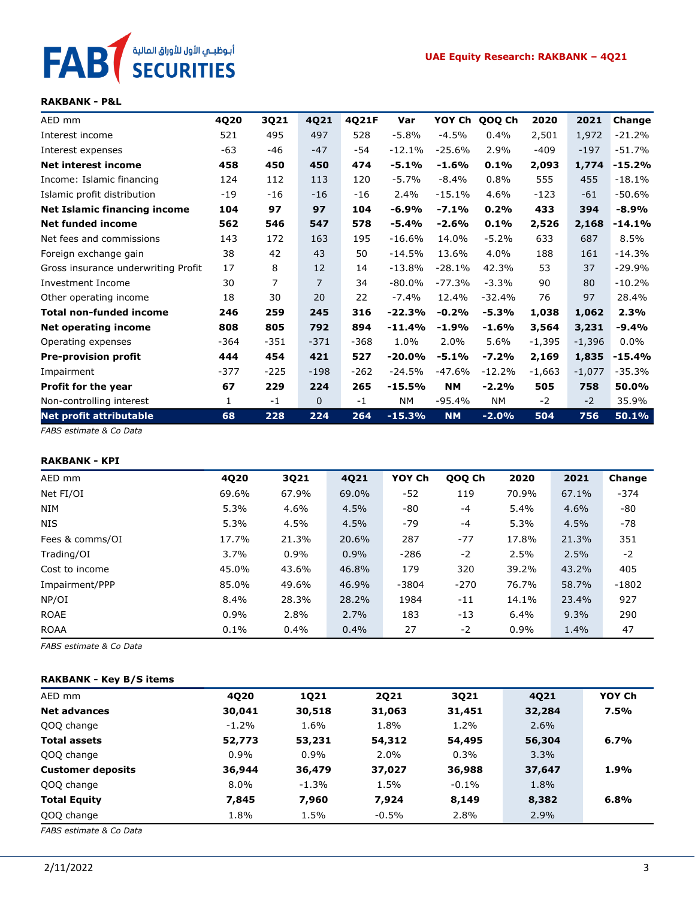

#### **RAKBANK - P&L**

| AED mm                              | 4Q20   | 3Q21   | 4Q21   | 4Q21F  | Var      | YOY Ch    | QOQ Ch    | 2020     | 2021     | Change   |
|-------------------------------------|--------|--------|--------|--------|----------|-----------|-----------|----------|----------|----------|
| Interest income                     | 521    | 495    | 497    | 528    | $-5.8%$  | $-4.5%$   | 0.4%      | 2,501    | 1,972    | $-21.2%$ |
| Interest expenses                   | -63    | -46    | $-47$  | -54    | $-12.1%$ | $-25.6%$  | 2.9%      | $-409$   | $-197$   | $-51.7%$ |
| Net interest income                 | 458    | 450    | 450    | 474    | $-5.1%$  | $-1.6%$   | 0.1%      | 2,093    | 1,774    | $-15.2%$ |
| Income: Islamic financing           | 124    | 112    | 113    | 120    | $-5.7%$  | $-8.4%$   | 0.8%      | 555      | 455      | $-18.1%$ |
| Islamic profit distribution         | $-19$  | $-16$  | $-16$  | $-16$  | 2.4%     | $-15.1%$  | 4.6%      | $-123$   | $-61$    | $-50.6%$ |
| <b>Net Islamic financing income</b> | 104    | 97     | 97     | 104    | -6.9%    | $-7.1%$   | 0.2%      | 433      | 394      | $-8.9%$  |
| <b>Net funded income</b>            | 562    | 546    | 547    | 578    | -5.4%    | $-2.6%$   | 0.1%      | 2,526    | 2,168    | $-14.1%$ |
| Net fees and commissions            | 143    | 172    | 163    | 195    | $-16.6%$ | 14.0%     | $-5.2%$   | 633      | 687      | 8.5%     |
| Foreign exchange gain               | 38     | 42     | 43     | 50     | $-14.5%$ | 13.6%     | 4.0%      | 188      | 161      | $-14.3%$ |
| Gross insurance underwriting Profit | 17     | 8      | 12     | 14     | $-13.8%$ | $-28.1%$  | 42.3%     | 53       | 37       | $-29.9%$ |
| Investment Income                   | 30     | 7      | 7      | 34     | $-80.0%$ | $-77.3%$  | $-3.3%$   | 90       | 80       | $-10.2%$ |
| Other operating income              | 18     | 30     | 20     | 22     | $-7.4%$  | 12.4%     | $-32.4%$  | 76       | 97       | 28.4%    |
| Total non-funded income             | 246    | 259    | 245    | 316    | $-22.3%$ | $-0.2%$   | $-5.3%$   | 1,038    | 1,062    | 2.3%     |
| <b>Net operating income</b>         | 808    | 805    | 792    | 894    | $-11.4%$ | $-1.9%$   | $-1.6%$   | 3,564    | 3,231    | $-9.4%$  |
| Operating expenses                  | $-364$ | $-351$ | $-371$ | $-368$ | 1.0%     | 2.0%      | 5.6%      | $-1,395$ | $-1,396$ | $0.0\%$  |
| <b>Pre-provision profit</b>         | 444    | 454    | 421    | 527    | $-20.0%$ | $-5.1%$   | $-7.2%$   | 2,169    | 1,835    | $-15.4%$ |
| Impairment                          | $-377$ | $-225$ | $-198$ | $-262$ | $-24.5%$ | $-47.6%$  | $-12.2%$  | $-1,663$ | $-1,077$ | $-35.3%$ |
| <b>Profit for the year</b>          | 67     | 229    | 224    | 265    | $-15.5%$ | <b>NM</b> | $-2.2%$   | 505      | 758      | 50.0%    |
| Non-controlling interest            | 1      | $-1$   | 0      | $-1$   | NΜ       | $-95.4%$  | <b>NM</b> | $-2$     | $-2$     | 35.9%    |
| <b>Net profit attributable</b>      | 68     | 228    | 224    | 264    | $-15.3%$ | <b>NM</b> | $-2.0%$   | 504      | 756      | 50.1%    |

*FABS estimate & Co Data*

#### **RAKBANK - KPI**

| AED mm          | 4Q20    | 3Q21    | 4Q21  | YOY Ch  | QOQ Ch | 2020    | 2021  | Change  |
|-----------------|---------|---------|-------|---------|--------|---------|-------|---------|
| Net FI/OI       | 69.6%   | 67.9%   | 69.0% | $-52$   | 119    | 70.9%   | 67.1% | $-374$  |
| NIM             | 5.3%    | 4.6%    | 4.5%  | $-80$   | $-4$   | 5.4%    | 4.6%  | -80     |
| <b>NIS</b>      | 5.3%    | 4.5%    | 4.5%  | -79     | $-4$   | 5.3%    | 4.5%  | $-78$   |
| Fees & comms/OI | 17.7%   | 21.3%   | 20.6% | 287     | $-77$  | 17.8%   | 21.3% | 351     |
| Trading/OI      | 3.7%    | $0.9\%$ | 0.9%  | $-286$  | $-2$   | 2.5%    | 2.5%  | $-2$    |
| Cost to income  | 45.0%   | 43.6%   | 46.8% | 179     | 320    | 39.2%   | 43.2% | 405     |
| Impairment/PPP  | 85.0%   | 49.6%   | 46.9% | $-3804$ | $-270$ | 76.7%   | 58.7% | $-1802$ |
| NP/OI           | 8.4%    | 28.3%   | 28.2% | 1984    | $-11$  | 14.1%   | 23.4% | 927     |
| <b>ROAE</b>     | $0.9\%$ | 2.8%    | 2.7%  | 183     | $-13$  | $6.4\%$ | 9.3%  | 290     |
| <b>ROAA</b>     | 0.1%    | 0.4%    | 0.4%  | 27      | -2     | 0.9%    | 1.4%  | 47      |

*FABS estimate & Co Data*

#### **RAKBANK - Key B/S items**

| AED mm                   | 4020    | 1021    | 2021    | 3021     | 4021   | YOY Ch |
|--------------------------|---------|---------|---------|----------|--------|--------|
| <b>Net advances</b>      | 30,041  | 30,518  | 31,063  | 31,451   | 32,284 | 7.5%   |
| QOQ change               | $-1.2%$ | 1.6%    | 1.8%    | 1.2%     | 2.6%   |        |
| <b>Total assets</b>      | 52,773  | 53,231  | 54,312  | 54,495   | 56,304 | 6.7%   |
| QOQ change               | 0.9%    | 0.9%    | 2.0%    | 0.3%     | 3.3%   |        |
| <b>Customer deposits</b> | 36,944  | 36,479  | 37,027  | 36,988   | 37,647 | 1.9%   |
| QOQ change               | $8.0\%$ | $-1.3%$ | 1.5%    | $-0.1\%$ | 1.8%   |        |
| <b>Total Equity</b>      | 7,845   | 7,960   | 7,924   | 8,149    | 8,382  | 6.8%   |
| QOQ change               | 1.8%    | 1.5%    | $-0.5%$ | 2.8%     | 2.9%   |        |

*FABS estimate & Co Data*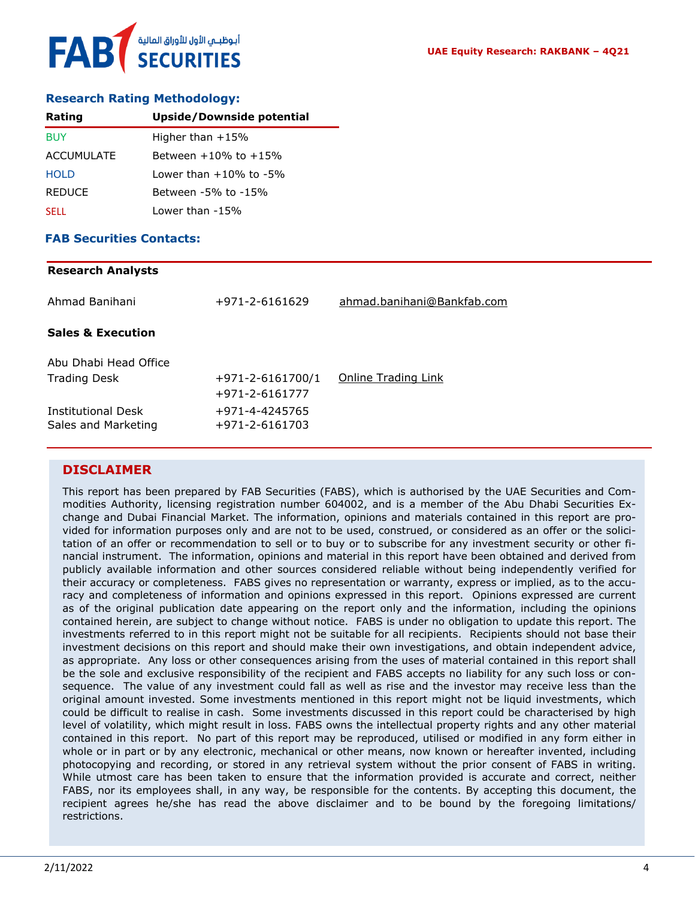#### **Research Rating Methodology:**

| Rating            | <b>Upside/Downside potential</b> |
|-------------------|----------------------------------|
| <b>BUY</b>        | Higher than $+15%$               |
| <b>ACCUMULATE</b> | Between $+10\%$ to $+15\%$       |
| <b>HOLD</b>       | Lower than $+10\%$ to $-5\%$     |
| <b>REDUCE</b>     | Between -5% to -15%              |
| <b>SELL</b>       | Lower than -15%                  |

#### **FAB Securities Contacts:**

# **Research Analysts** Ahmad Banihani +971-2-6161629 [ahmad.banihani@Bankfab.com](mailto:ahmad.banihani@Bankfab.com) **Sales & Execution** Abu Dhabi Head Office Trading Desk  $+971-2-6161700/1$  [Online Trading Link](http://www.nbad.com/countries/en-ae/Brokerage/WhatWeOffer/Pages/OnlineTrading.aspx) +971-2-6161777 Institutional Desk +971-4-4245765 Sales and Marketing +971-2-6161703

### **DISCLAIMER**

This report has been prepared by FAB Securities (FABS), which is authorised by the UAE Securities and Commodities Authority, licensing registration number 604002, and is a member of the Abu Dhabi Securities Exchange and Dubai Financial Market. The information, opinions and materials contained in this report are provided for information purposes only and are not to be used, construed, or considered as an offer or the solicitation of an offer or recommendation to sell or to buy or to subscribe for any investment security or other financial instrument. The information, opinions and material in this report have been obtained and derived from publicly available information and other sources considered reliable without being independently verified for their accuracy or completeness. FABS gives no representation or warranty, express or implied, as to the accuracy and completeness of information and opinions expressed in this report. Opinions expressed are current as of the original publication date appearing on the report only and the information, including the opinions contained herein, are subject to change without notice. FABS is under no obligation to update this report. The investments referred to in this report might not be suitable for all recipients. Recipients should not base their investment decisions on this report and should make their own investigations, and obtain independent advice, as appropriate. Any loss or other consequences arising from the uses of material contained in this report shall be the sole and exclusive responsibility of the recipient and FABS accepts no liability for any such loss or consequence. The value of any investment could fall as well as rise and the investor may receive less than the original amount invested. Some investments mentioned in this report might not be liquid investments, which could be difficult to realise in cash. Some investments discussed in this report could be characterised by high level of volatility, which might result in loss. FABS owns the intellectual property rights and any other material contained in this report. No part of this report may be reproduced, utilised or modified in any form either in whole or in part or by any electronic, mechanical or other means, now known or hereafter invented, including photocopying and recording, or stored in any retrieval system without the prior consent of FABS in writing. While utmost care has been taken to ensure that the information provided is accurate and correct, neither FABS, nor its employees shall, in any way, be responsible for the contents. By accepting this document, the recipient agrees he/she has read the above disclaimer and to be bound by the foregoing limitations/ restrictions.